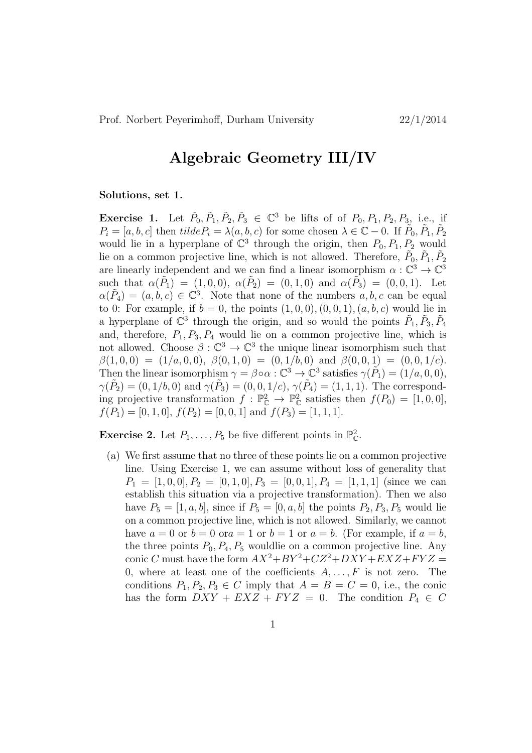## Algebraic Geometry III/IV

## Solutions, set 1.

**Exercise 1.** Let  $\tilde{P}_0, \tilde{P}_1, \tilde{P}_2, \tilde{P}_3 \in \mathbb{C}^3$  be lifts of of  $P_0, P_1, P_2, P_3$ , i.e., if  $P_i = [a, b, c]$  then  $tilde{P}_i = \lambda(a, b, c)$  for some chosen  $\lambda \in \mathbb{C} - 0$ . If  $\tilde{P}_0, \tilde{P}_1, \tilde{P}_2$ would lie in a hyperplane of  $\mathbb{C}^3$  through the origin, then  $P_0, P_1, P_2$  would lie on a common projective line, which is not allowed. Therefore,  $\tilde{P}_0, \tilde{P}_1, \tilde{P}_2$ are linearly independent and we can find a linear isomorphism  $\alpha : \mathbb{C}^3 \to \mathbb{C}^3$ such that  $\alpha(\tilde{P}_1) = (1, 0, 0), \alpha(\tilde{P}_2) = (0, 1, 0)$  and  $\alpha(\tilde{P}_3) = (0, 0, 1).$  Let  $\alpha(\tilde{P}_4) = (a, b, c) \in \mathbb{C}^3$ . Note that none of the numbers  $a, b, c$  can be equal to 0: For example, if  $b = 0$ , the points  $(1, 0, 0), (0, 0, 1), (a, b, c)$  would lie in a hyperplane of  $\mathbb{C}^3$  through the origin, and so would the points  $\tilde{P}_1, \tilde{P}_3, \tilde{P}_4$ and, therefore,  $P_1$ ,  $P_3$ ,  $P_4$  would lie on a common projective line, which is not allowed. Choose  $\beta : \mathbb{C}^3 \to \mathbb{C}^3$  the unique linear isomorphism such that  $\beta(1,0,0) = (1/a,0,0), \ \beta(0,1,0) = (0,1/b,0) \text{ and } \beta(0,0,1) = (0,0,1/c).$ Then the linear isomorphism  $\gamma = \beta \circ \alpha : \mathbb{C}^3 \to \mathbb{C}^3$  satisfies  $\gamma(\tilde{P}_1) = (1/a, 0, 0),$  $\gamma(\tilde{P}_2) = (0, 1/b, 0)$  and  $\gamma(\tilde{P}_3) = (0, 0, 1/c), \gamma(\tilde{P}_4) = (1, 1, 1)$ . The corresponding projective transformation  $f : \mathbb{P}_{\mathbb{C}}^2 \to \mathbb{P}_{\mathbb{C}}^2$  satisfies then  $f(P_0) = [1, 0, 0],$  $f(P_1) = [0, 1, 0], f(P_2) = [0, 0, 1]$  and  $f(P_3) = [1, 1, 1].$ 

**Exercise 2.** Let  $P_1, \ldots, P_5$  be five different points in  $\mathbb{P}_{\mathbb{C}}^2$ .

(a) We first assume that no three of these points lie on a common projective line. Using Exercise 1, we can assume without loss of generality that  $P_1 = [1, 0, 0], P_2 = [0, 1, 0], P_3 = [0, 0, 1], P_4 = [1, 1, 1]$  (since we can establish this situation via a projective transformation). Then we also have  $P_5 = [1, a, b]$ , since if  $P_5 = [0, a, b]$  the points  $P_2, P_3, P_5$  would lie on a common projective line, which is not allowed. Similarly, we cannot have  $a = 0$  or  $b = 0$  or  $a = 1$  or  $b = 1$  or  $a = b$ . (For example, if  $a = b$ , the three points  $P_0$ ,  $P_4$ ,  $P_5$  wouldlie on a common projective line. Any conic C must have the form  $AX^2 + BY^2 + CZ^2 + DXY + EXZ + FYZ =$ 0, where at least one of the coefficients  $A, \ldots, F$  is not zero. The conditions  $P_1, P_2, P_3 \in C$  imply that  $A = B = C = 0$ , i.e., the conic has the form  $DXY + EXZ + FYZ = 0$ . The condition  $P_4 \in C$